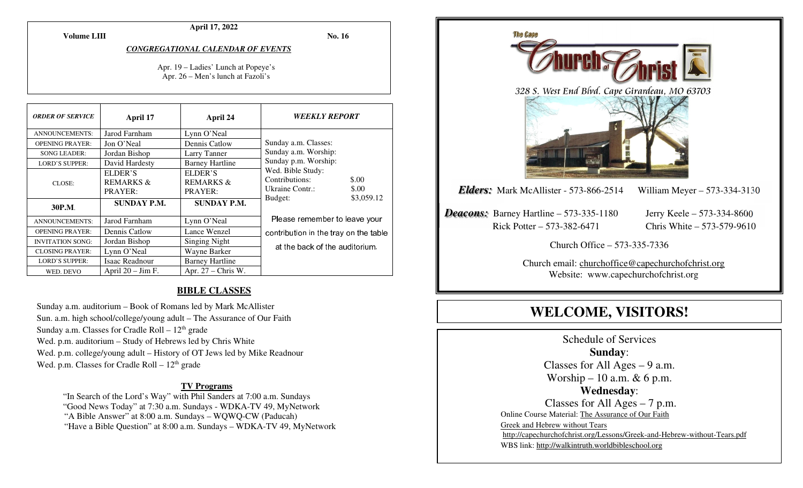**April 17, 2022** 

**Volume LIII**

**No. 16** 

*CONGREGATIONAL CALENDAR OF EVENTS* 

Apr. 19 – Ladies' Lunch at Popeye's Apr. 26 – Men's lunch at Fazoli's

| <b>ORDER OF SERVICE</b> | April 17                                   | April 24                                   | <b>WEEKLY REPORT</b>                                                     |
|-------------------------|--------------------------------------------|--------------------------------------------|--------------------------------------------------------------------------|
| <b>ANNOUNCEMENTS:</b>   | Jarod Farnham                              | Lynn O'Neal                                |                                                                          |
| <b>OPENING PRAYER:</b>  | Jon O'Neal                                 | Dennis Catlow                              | Sunday a.m. Classes:                                                     |
| <b>SONG LEADER:</b>     | Jordan Bishop                              | Larry Tanner                               | Sunday a.m. Worship:                                                     |
| <b>LORD'S SUPPER:</b>   | David Hardesty                             | <b>Barney Hartline</b>                     | Sunday p.m. Worship:                                                     |
| CLOSE:                  | ELDER'S<br><b>REMARKS &amp;</b><br>PRAYER: | ELDER'S<br><b>REMARKS &amp;</b><br>PRAYER: | Wed. Bible Study:<br>Contributions:<br>\$.00<br>Ukraine Contr.:<br>\$.00 |
| 30P.M.                  | <b>SUNDAY P.M.</b>                         | <b>SUNDAY P.M.</b>                         | \$3,059.12<br>Budget:                                                    |
| <b>ANNOUNCEMENTS:</b>   | Jarod Farnham                              | Lynn O'Neal                                | Please remember to leave your                                            |
| <b>OPENING PRAYER:</b>  | Dennis Catlow                              | Lance Wenzel                               | contribution in the tray on the table                                    |
| <b>INVITATION SONG:</b> | Jordan Bishop                              | Singing Night                              | at the back of the auditorium.                                           |
| <b>CLOSING PRAYER:</b>  | Lynn O'Neal                                | Wayne Barker                               |                                                                          |
| <b>LORD'S SUPPER:</b>   | Isaac Readnour                             | <b>Barney Hartline</b>                     |                                                                          |
| WED. DEVO               | April $20 - Jim F$ .                       | Apr. $27$ – Chris W.                       |                                                                          |

#### **BIBLE CLASSES**

Sunday a.m. auditorium – Book of Romans led by Mark McAllister Sun. a.m. high school/college/young adult – The Assurance of Our Faith Sunday a.m. Classes for Cradle Roll  $-12<sup>th</sup>$  grade Wed. p.m. auditorium – Study of Hebrews led by Chris White Wed. p.m. college/young adult – History of OT Jews led by Mike Readnour Wed. p.m. Classes for Cradle Roll  $-12<sup>th</sup>$  grade

#### **TV Programs**

 "In Search of the Lord's Way" with Phil Sanders at 7:00 a.m. Sundays "Good News Today" at 7:30 a.m. Sundays - WDKA-TV 49, MyNetwork "A Bible Answer" at 8:00 a.m. Sundays – WQWQ-CW (Paducah) "Have a Bible Question" at 8:00 a.m. Sundays – WDKA-TV 49, MyNetwork



Schedule of Services **Sunday**: Classes for All Ages  $-9$  a.m. Worship – 10 a.m.  $& 6$  p.m. **Wednesday**: Classes for All Ages – 7 p.m. Online Course Material: The Assurance of Our Faith Greek and Hebrew without Tears http://capechurchofchrist.org/Lessons/Greek-and-Hebrew-without-Tears.pdfWBS link: http://walkintruth.worldbibleschool.org